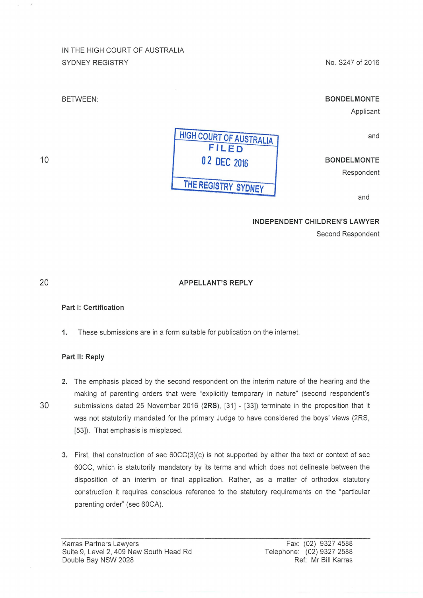# IN THE HIGH COURT OF AUSTRALIA SYDNEY REGISTRY

No. S247 of 2016

# BETWEEN:

# **BONDELMONTE**

Applicant

and

## **BONDELMONTE**

Respondent

and

#### **INDEPENDENT CHILDREN'S LAWYER**

Second Respondent

20

10

#### **APPELLANT'S REPLY**

### **Part 1: Certification**

**1.** These submissions are in a form suitable for publication on the internet.

#### **Part 11: Reply**

- **2.** The emphasis placed by the second respondent on the interim nature of the hearing and the making of parenting orders that were "explicitly temporary in nature" (second respondent's 30 submissions dated 25 November 2016 **(2RS),** [31] - [33]) terminate in the proposition that it was not statutorily mandated for the primary Judge to have considered the boys' views (2RS, [53]). That emphasis is misplaced.
	- 3. First, that construction of sec 60CC(3)(c) is not supported by either the text or context of sec 60CC, which is statutorily mandatory by its terms and which does not delineate between the disposition of an interim or final application. Rather, as a matter of orthodox statutory construction it requires conscious reference to the statutory requirements on the "particular parenting order" (sec 60CA).

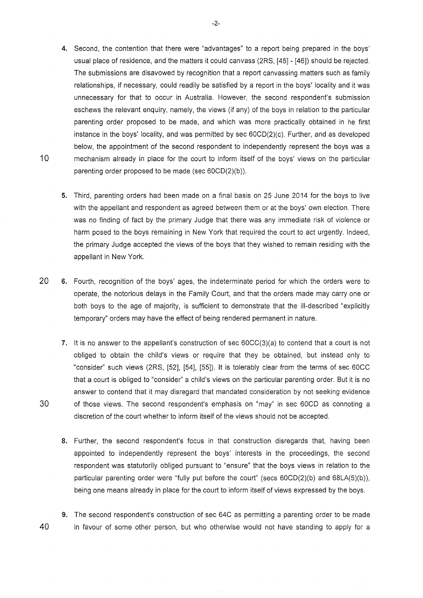- 4. Second, the contention that there were "advantages" to a report being prepared in the boys' usual place of residence, and the matters it could canvass (2RS, [45]- [46]) should be rejected. The submissions are disavowed by recognition that a report canvassing matters such as family relationships, if necessary, could readily be satisfied by a report in the boys' locality and it was unnecessary for that to occur in Australia. However, the second respondent's submission eschews the relevant enquiry, namely, the views (if any) of the boys in relation to the particular parenting order proposed to be made, and which was more practically obtained in he first instance in the boys' locality, and was permitted by sec 60CD(2)(c). Further, and as developed below, the appointment of the second respondent to independently represent the boys was a 10 mechanism already in place for the court to inform itself of the boys' views on the particular parenting order proposed to be made (sec 60CD(2)(b)).
	- 5. Third, parenting orders had been made on a final basis on 25 June 2014 for the boys to live with the appellant and respondent as agreed between them or at the boys' own election. There was no finding of fact by the primary Judge that there was any immediate risk of violence or harm posed to the boys remaining in New York that required the court to act urgently. Indeed, the primary Judge accepted the views of the boys that they wished to remain residing with the appellant in New York.
- 20 6. Fourth, recognition of the boys' ages, the indeterminate period for which the orders were to operate, the notorious delays in the Family Court, and that the orders made may carry one or both boys to the age of majority, is sufficient to demonstrate that the ill-described "explicitly temporary" orders may have the effect of being rendered permanent in nature.
- 7. lt is no answer to the appellant's construction of sec 60CC(3)(a) to contend that a court is not obliged to obtain the child's views or require that they be obtained, but instead only to "consider" such views (2RS, [52], [54], [55]). lt is tolerably clear from the terms of sec 60CC that a court is obliged to "consider" a child's views on the particular parenting order. But it is no answer to contend that it may disregard that mandated consideration by not seeking evidence 30 of those views. The second respondent's emphasis on "may" in sec 60CD as connoting a discretion of the court whether to inform itself of the views should not be accepted.
	- 8. Further, the second respondent's focus in that construction disregards that, having been appointed to independently represent the boys' interests in the proceedings, the second respondent was statutorily obliged pursuant to "ensure" that the boys views in relation to the particular parenting order were "fully put before the court" (secs 60CD(2)(b) and 68LA(5)(b)), being one means already in place for the court to inform itself of views expressed by the boys.
- 9. The second respondent's construction of sec 64C as permitting a parenting order to be made 40 in favour of some other person, but who otherwise would not have standing to apply for a